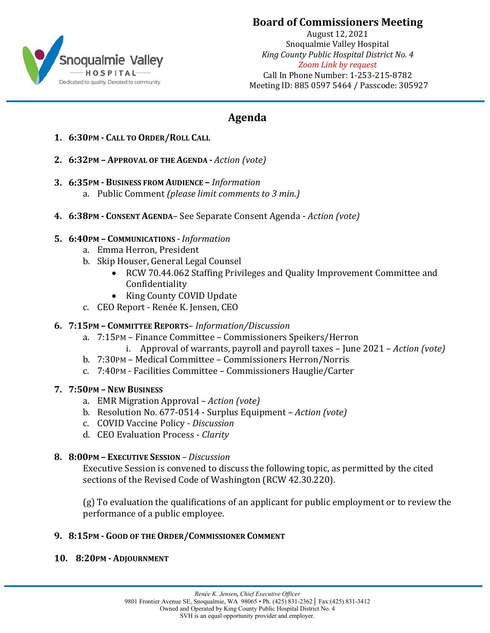

## **Board of Commissioners Meeting**

August 12, 2021 Snoqualmie Valley Hospital *King County Public Hospital District No. 4 Zoom Link by request* Call In Phone Number: 1-253-215-8782 Meeting ID: 885 0597 5464 / Passcode: 305927

# **Agenda**

- **1. 6:30PM - CALL TO ORDER/ROLL CALL**
- **2. 6:32PM – APPROVAL OF THE AGENDA -** *Action (vote)*
- **3. 6:35PM - BUSINESS FROM AUDIENCE –** *Information* a. Public Comment *(please limit comments to 3 min.)*
- **4. 6:38PM - CONSENT AGENDA** See Separate Consent Agenda *Action (vote)*

#### **5. 6:40PM – COMMUNICATIONS** - *Information*

- a. Emma Herron, President
- b. Skip Houser, General Legal Counsel
	- RCW 70.44.062 Staffing Privileges and Quality Improvement Committee and Confidentiality
	- King County COVID Update
- c. CEO Report Renée K. Jensen, CEO

### **6. 7:15PM – COMMITTEE REPORTS**– *Information/Discussion*

- a. 7:15PM Finance Committee Commissioners Speikers/Herron
	- i. Approval of warrants, payroll and payroll taxes June 2021 *Action (vote)*
- b. 7:30PM Medical Committee Commissioners Herron/Norris
- c. 7:40PM Facilities Committee Commissioners Hauglie/Carter

### **7. 7:50PM – NEW BUSINESS**

- a. EMR Migration Approval *Action (vote)*
- b. Resolution No. 677-0514 Surplus Equipment *Action (vote)*
- c. COVID Vaccine Policy *- Discussion*
- d. CEO Evaluation Process *Clarity*

### **8. 8:00PM – EXECUTIVE SESSION** *– Discussion*

Executive Session is convened to discuss the following topic, as permitted by the cited sections of the Revised Code of Washington (RCW 42.30.220).

(g) To evaluation the qualifications of an applicant for public employment or to review the performance of a public employee.

### **9. 8:15PM - GOOD OF THE ORDER/COMMISSIONER COMMENT**

#### **10. 8:20PM - ADJOURNMENT**